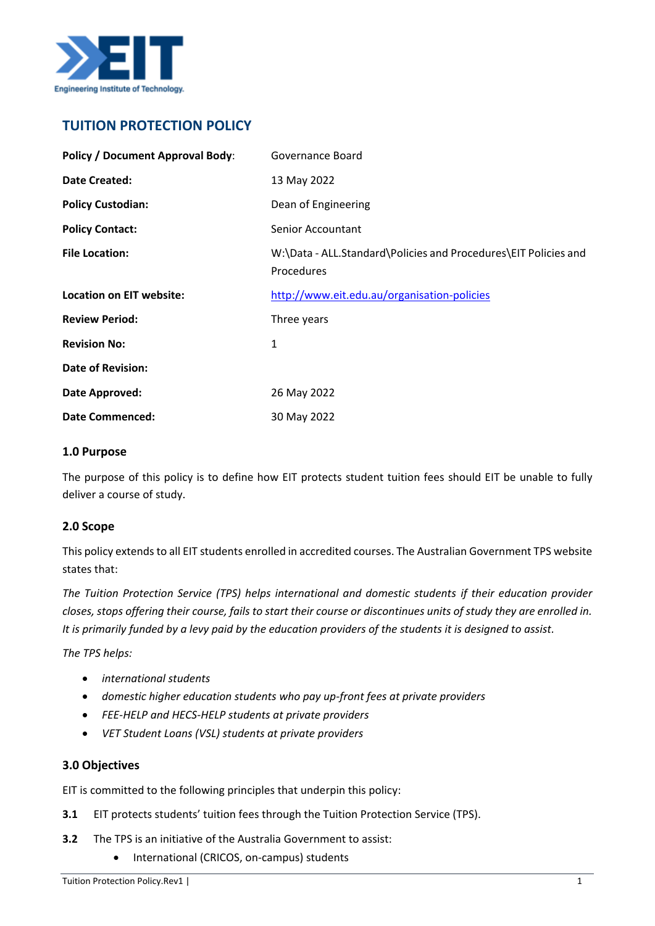

# **TUITION PROTECTION POLICY**

| <b>Policy / Document Approval Body:</b> | Governance Board                                                              |
|-----------------------------------------|-------------------------------------------------------------------------------|
| <b>Date Created:</b>                    | 13 May 2022                                                                   |
| <b>Policy Custodian:</b>                | Dean of Engineering                                                           |
| <b>Policy Contact:</b>                  | <b>Senior Accountant</b>                                                      |
| <b>File Location:</b>                   | W:\Data - ALL.Standard\Policies and Procedures\EIT Policies and<br>Procedures |
| <b>Location on EIT website:</b>         | http://www.eit.edu.au/organisation-policies                                   |
| <b>Review Period:</b>                   | Three years                                                                   |
| <b>Revision No:</b>                     | 1                                                                             |
| <b>Date of Revision:</b>                |                                                                               |
| Date Approved:                          | 26 May 2022                                                                   |
| <b>Date Commenced:</b>                  | 30 May 2022                                                                   |

#### **1.0 Purpose**

The purpose of this policy is to define how EIT protects student tuition fees should EIT be unable to fully deliver a course of study.

## **2.0 Scope**

This policy extends to all EIT students enrolled in accredited courses. The Australian Government TPS website states that:

*The Tuition Protection Service (TPS) helps international and domestic students if their education provider closes, stops offering their course, fails to start their course or discontinues units of study they are enrolled in. It is primarily funded by a levy paid by the education providers of the students it is designed to assist.*

*The TPS helps:*

- *international students*
- *domestic higher education students who pay up-front fees at private providers*
- *FEE-HELP and HECS-HELP students at private providers*
- *VET Student Loans (VSL) students at private providers*

#### **3.0 Objectives**

EIT is committed to the following principles that underpin this policy:

- **3.1** EIT protects students' tuition fees through the Tuition Protection Service (TPS).
- **3.2** The TPS is an initiative of the Australia Government to assist:
	- International (CRICOS, on-campus) students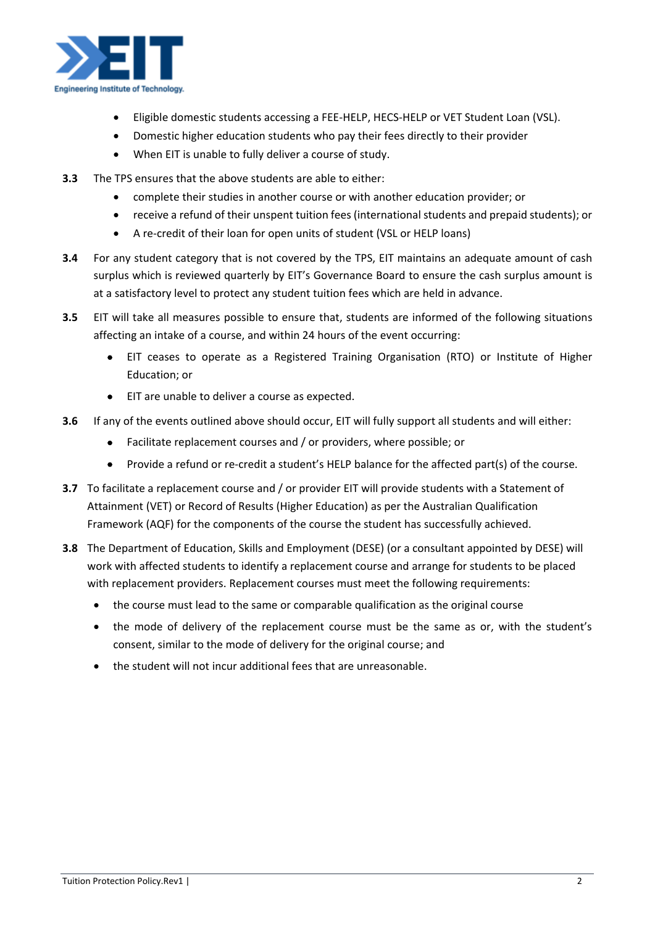

- Eligible domestic students accessing a FEE-HELP, HECS-HELP or VET Student Loan (VSL).
- Domestic higher education students who pay their fees directly to their provider
- When EIT is unable to fully deliver a course of study.
- **3.3** The TPS ensures that the above students are able to either:
	- complete their studies in another course or with another education provider; or
	- receive a refund of their unspent tuition fees (international students and prepaid students); or
	- A re-credit of their loan for open units of student (VSL or HELP loans)
- **3.4** For any student category that is not covered by the TPS, EIT maintains an adequate amount of cash surplus which is reviewed quarterly by EIT's Governance Board to ensure the cash surplus amount is at a satisfactory level to protect any student tuition fees which are held in advance.
- **3.5** EIT will take all measures possible to ensure that, students are informed of the following situations affecting an intake of a course, and within 24 hours of the event occurring:
	- EIT ceases to operate as a Registered Training Organisation (RTO) or Institute of Higher Education; or
	- EIT are unable to deliver a course as expected.
- **3.6** If any of the events outlined above should occur, EIT will fully support all students and will either:
	- Facilitate replacement courses and / or providers, where possible; or
	- Provide a refund or re-credit a student's HELP balance for the affected part(s) of the course.
- **3.7** To facilitate a replacement course and / or provider EIT will provide students with a Statement of Attainment (VET) or Record of Results (Higher Education) as per the Australian Qualification Framework (AQF) for the components of the course the student has successfully achieved.
- **3.8** The Department of Education, Skills and Employment (DESE) (or a consultant appointed by DESE) will work with affected students to identify a replacement course and arrange for students to be placed with replacement providers. Replacement courses must meet the following requirements:
	- the course must lead to the same or comparable qualification as the original course
	- the mode of delivery of the replacement course must be the same as or, with the student's consent, similar to the mode of delivery for the original course; and
	- the student will not incur additional fees that are unreasonable.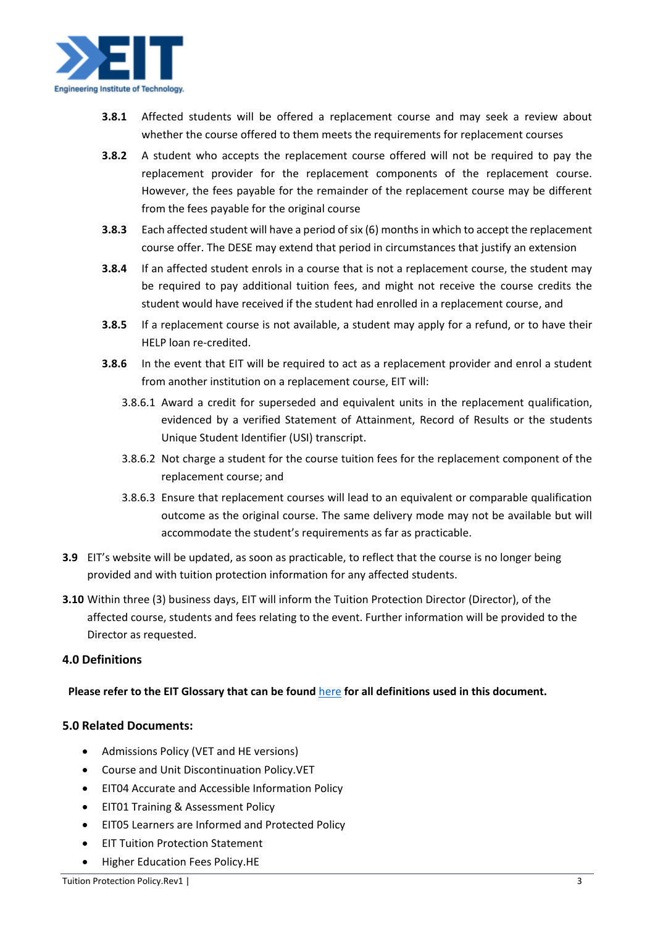

- **3.8.1** Affected students will be offered a replacement course and may seek a review about whether the course offered to them meets the requirements for replacement courses
- **3.8.2** A student who accepts the replacement course offered will not be required to pay the replacement provider for the replacement components of the replacement course. However, the fees payable for the remainder of the replacement course may be different from the fees payable for the original course
- **3.8.3** Each affected student will have a period of six (6) months in which to accept the replacement course offer. The DESE may extend that period in circumstances that justify an extension
- **3.8.4** If an affected student enrols in a course that is not a replacement course, the student may be required to pay additional tuition fees, and might not receive the course credits the student would have received if the student had enrolled in a replacement course, and
- **3.8.5** If a replacement course is not available, a student may apply for a refund, or to have their HELP loan re-credited.
- **3.8.6** In the event that EIT will be required to act as a replacement provider and enrol a student from another institution on a replacement course, EIT will:
	- 3.8.6.1 Award a credit for superseded and equivalent units in the replacement qualification, evidenced by a verified Statement of Attainment, Record of Results or the students Unique Student Identifier (USI) transcript.
	- 3.8.6.2 Not charge a student for the course tuition fees for the replacement component of the replacement course; and
	- 3.8.6.3 Ensure that replacement courses will lead to an equivalent or comparable qualification outcome as the original course. The same delivery mode may not be available but will accommodate the student's requirements as far as practicable.
- **3.9** EIT's website will be updated, as soon as practicable, to reflect that the course is no longer being provided and with tuition protection information for any affected students.
- **3.10** Within three (3) business days, EIT will inform the Tuition Protection Director (Director), of the affected course, students and fees relating to the event. Further information will be provided to the Director as requested.

## **4.0 Definitions**

## **Please refer to the EIT Glossary that can be found** [here](https://www.eit.edu.au/policies/EIT_Training_Glossary.VET.HE.pdf) **for all definitions used in this document.**

## **5.0 Related Documents:**

- Admissions Policy (VET and HE versions)
- Course and Unit Discontinuation Policy.VET
- EIT04 Accurate and Accessible Information Policy
- EIT01 Training & Assessment Policy
- EIT05 Learners are Informed and Protected Policy
- EIT Tuition Protection Statement
- Higher Education Fees Policy.HE